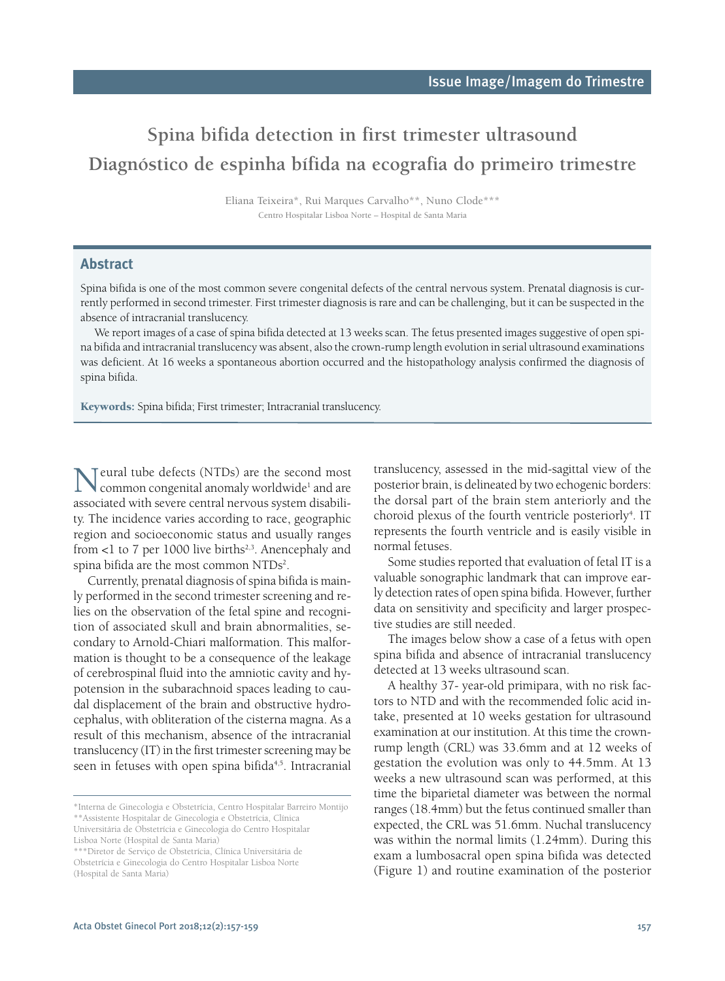## **Spina bifida detection in first trimester ultrasound Diagnóstico de espinha bífida na ecografia do primeiro trimestre**

Eliana Teixeira\*, Rui Marques Carvalho\*\*, Nuno Clode\*\*\* Centro Hospitalar Lisboa Norte – Hospital de Santa Maria

## **Abstract**

Spina bifida is one of the most common severe congenital defects of the central nervous system. Prenatal diagnosis is currently performed in second trimester. First trimester diagnosis is rare and can be challenging, but it can be suspected in the absence of intracranial translucency.

We report images of a case of spina bifida detected at 13 weeks scan. The fetus presented images suggestive of open spina bifida and intracranial translucency was absent, also the crown-rump length evolution in serial ultrasound examinations was deficient. At 16 weeks a spontaneous abortion occurred and the histopathology analysis confirmed the diagnosis of spina bifida.

**Keywords:** Spina bifida; First trimester; Intracranial translucency.

Teural tube defects (NTDs) are the second most common congenital anomaly worldwide<sup>1</sup> and are associated with severe central nervous system disability. The incidence varies according to race, geographic region and socioeconomic status and usually ranges from <1 to 7 per 1000 live births<sup>2,3</sup>. Anencephaly and spina bifida are the most common  $\rm NTDs^2$ .

Currently, prenatal diagnosis of spina bifida is mainly performed in the second trimester screening and relies on the observation of the fetal spine and recognition of associated skull and brain abnormalities, secondary to Arnold-Chiari malformation. This malformation is thought to be a consequence of the leakage of cerebrospinal fluid into the amniotic cavity and hypotension in the subarachnoid spaces leading to caudal displacement of the brain and obstructive hydrocephalus, with obliteration of the cisterna magna. As a result of this mechanism, absence of the intracranial translucency (IT) in the first trimester screening may be seen in fetuses with open spina bifida<sup>4,5</sup>. Intracranial

translucency, assessed in the mid-sagittal view of the posterior brain, is delineated by two echogenic borders: the dorsal part of the brain stem anteriorly and the choroid plexus of the fourth ventricle posteriorly<sup>4</sup>. IT represents the fourth ventricle and is easily visible in normal fetuses.

Some studies reported that evaluation of fetal IT is a valuable sonographic landmark that can improve early detection rates of open spina bifida. However, further data on sensitivity and specificity and larger prospective studies are still needed.

The images below show a case of a fetus with open spina bifida and absence of intracranial translucency detected at 13 weeks ultrasound scan.

A healthy 37- year-old primipara, with no risk factors to NTD and with the recommended folic acid intake, presented at 10 weeks gestation for ultrasound examination at our institution. At this time the crownrump length (CRL) was 33.6mm and at 12 weeks of gestation the evolution was only to 44.5mm. At 13 weeks a new ultrasound scan was performed, at this time the biparietal diameter was between the normal ranges (18.4mm) but the fetus continued smaller than expected, the CRL was 51.6mm. Nuchal translucency was within the normal limits (1.24mm). During this exam a lumbosacral open spina bifida was detected (Figure 1) and routine examination of the posterior

<sup>\*</sup>Interna de Ginecologia e Obstetrícia, Centro Hospitalar Barreiro Montijo \*\*Assistente Hospitalar de Ginecologia e Obstetrícia, Clínica Universitária de Obstetrícia e Ginecologia do Centro Hospitalar

Lisboa Norte (Hospital de Santa Maria)

<sup>\*\*\*</sup>Diretor de Serviço de Obstetrícia, Clínica Universitária de Obstetrícia e Ginecologia do Centro Hospitalar Lisboa Norte (Hospital de Santa Maria)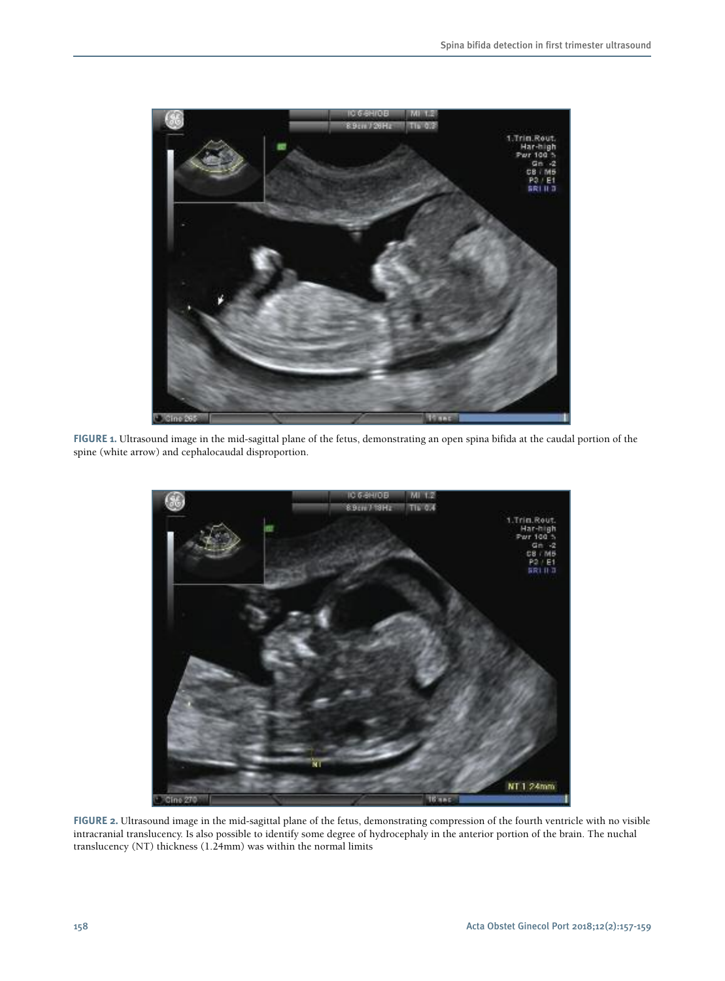

**FIGURE 1.** Ultrasound image in the mid-sagittal plane of the fetus, demonstrating an open spina bifida at the caudal portion of the spine (white arrow) and cephalocaudal disproportion.



**FIGURE 2.** Ultrasound image in the mid-sagittal plane of the fetus, demonstrating compression of the fourth ventricle with no visible intracranial translucency. Is also possible to identify some degree of hydrocephaly in the anterior portion of the brain. The nuchal translucency (NT) thickness (1.24mm) was within the normal limits